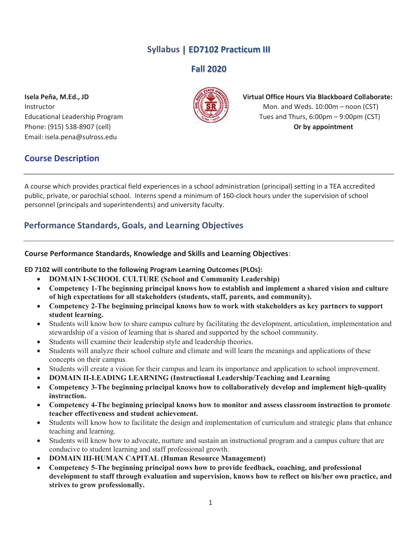# Syllabus | ED7102 Practicum III

Fall 2020

Phone: (915) 538-8907 (cell) **Department** Or by appointment Email: isela.pena@sulross.edu



# Isela Peña, M.Ed., JD Virtual Office Hours Via Blackboard Collaborate:  $\frac{1}{2}$  Instructor Mon. and Weds. 10:00m – noon (CST) Educational Leadership Program Tues and Thurs, 6:00pm – 9:00pm (CST)

# Course Description

A course which provides practical field experiences in a school administration (principal) setting in a TEA accredited public, private, or parochial school. Interns spend a minimum of 160-clock hours under the supervision of school personnel (principals and superintendents) and university faculty.

# Performance Standards, Goals, and Learning Objectives

## Course Performance Standards, Knowledge and Skills and Learning Objectives:

### ED 7102 will contribute to the following Program Learning Outcomes (PLOs):

- DOMAIN I-SCHOOL CULTURE (School and Community Leadership)
- Competency 1-The beginning principal knows how to establish and implement a shared vision and culture of high expectations for all stakeholders (students, staff, parents, and community).
- Competency 2-The beginning principal knows how to work with stakeholders as key partners to support student learning.
- Students will know how to share campus culture by facilitating the development, articulation, implementation and stewardship of a vision of learning that is shared and supported by the school community.
- Students will examine their leadership style and leadership theories.
- Students will analyze their school culture and climate and will learn the meanings and applications of these concepts on their campus.
- Students will create a vision for their campus and learn its importance and application to school improvement.
- x DOMAIN II-LEADING LEARNING (Instructional Leadership/Teaching and Learning
- Competency 3-The beginning principal knows how to collaboratively develop and implement high-quality instruction.
- Competency 4-The beginning principal knows how to monitor and assess classroom instruction to promote teacher effectiveness and student achievement.
- Students will know how to facilitate the design and implementation of curriculum and strategic plans that enhance teaching and learning.
- Students will know how to advocate, nurture and sustain an instructional program and a campus culture that are conducive to student learning and staff professional growth.
- DOMAIN III-HUMAN CAPITAL (Human Resource Management)
- Competency 5-The beginning principal nows how to provide feedback, coaching, and professional development to staff through evaluation and supervision, knows how to reflect on his/her own practice, and strives to grow professionally.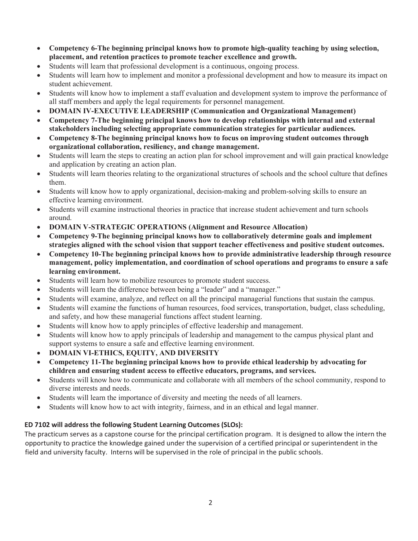- Competency 6-The beginning principal knows how to promote high-quality teaching by using selection, placement, and retention practices to promote teacher excellence and growth.
- Students will learn that professional development is a continuous, ongoing process.
- Students will learn how to implement and monitor a professional development and how to measure its impact on student achievement.
- Students will know how to implement a staff evaluation and development system to improve the performance of all staff members and apply the legal requirements for personnel management.
- x DOMAIN IV-EXECUTIVE LEADERSHIP (Communication and Organizational Management)
- Competency 7-The beginning principal knows how to develop relationships with internal and external stakeholders including selecting appropriate communication strategies for particular audiences.
- Competency 8-The beginning principal knows how to focus on improving student outcomes through organizational collaboration, resiliency, and change management.
- Students will learn the steps to creating an action plan for school improvement and will gain practical knowledge and application by creating an action plan.
- Students will learn theories relating to the organizational structures of schools and the school culture that defines them.
- Students will know how to apply organizational, decision-making and problem-solving skills to ensure an effective learning environment.
- Students will examine instructional theories in practice that increase student achievement and turn schools around.
- DOMAIN V-STRATEGIC OPERATIONS (Alignment and Resource Allocation)
- Competency 9-The beginning principal knows how to collaboratively determine goals and implement strategies aligned with the school vision that support teacher effectiveness and positive student outcomes.
- Competency 10-The beginning principal knows how to provide administrative leadership through resource management, policy implementation, and coordination of school operations and programs to ensure a safe learning environment.
- Students will learn how to mobilize resources to promote student success.
- Students will learn the difference between being a "leader" and a "manager."
- Students will examine, analyze, and reflect on all the principal managerial functions that sustain the campus.
- Students will examine the functions of human resources, food services, transportation, budget, class scheduling, and safety, and how these managerial functions affect student learning.
- Students will know how to apply principles of effective leadership and management.
- Students will know how to apply principals of leadership and management to the campus physical plant and support systems to ensure a safe and effective learning environment.
- DOMAIN VI-ETHICS, EQUITY, AND DIVERSITY
- x Competency 11-The beginning principal knows how to provide ethical leadership by advocating for children and ensuring student access to effective educators, programs, and services.
- Students will know how to communicate and collaborate with all members of the school community, respond to diverse interests and needs.
- Students will learn the importance of diversity and meeting the needs of all learners.
- Students will know how to act with integrity, fairness, and in an ethical and legal manner.

## ED 7102 will address the following Student Learning Outcomes (SLOs):

The practicum serves as a capstone course for the principal certification program. It is designed to allow the intern the opportunity to practice the knowledge gained under the supervision of a certified principal or superintendent in the field and university faculty. Interns will be supervised in the role of principal in the public schools.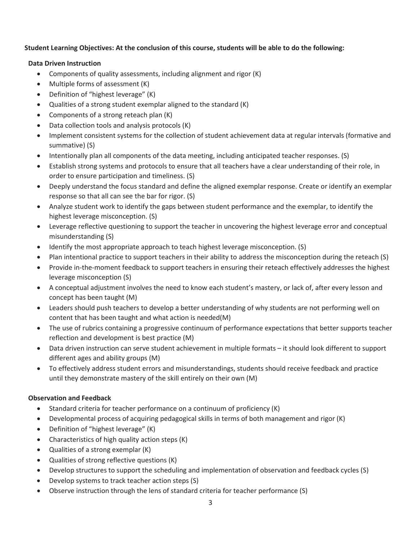## Student Learning Objectives: At the conclusion of this course, students will be able to do the following:

### Data Driven Instruction

- Components of quality assessments, including alignment and rigor (K)
- $\bullet$  Multiple forms of assessment  $(K)$
- $\bullet$  Definition of "highest leverage" (K)
- Qualities of a strong student exemplar aligned to the standard  $(K)$
- Components of a strong reteach plan  $(K)$
- Data collection tools and analysis protocols (K)
- Implement consistent systems for the collection of student achievement data at regular intervals (formative and summative) (S)
- Intentionally plan all components of the data meeting, including anticipated teacher responses. (S)
- Establish strong systems and protocols to ensure that all teachers have a clear understanding of their role, in order to ensure participation and timeliness. (S)
- Deeply understand the focus standard and define the aligned exemplar response. Create or identify an exemplar response so that all can see the bar for rigor. (S)
- Analyze student work to identify the gaps between student performance and the exemplar, to identify the highest leverage misconception. (S)
- Leverage reflective questioning to support the teacher in uncovering the highest leverage error and conceptual misunderstanding (S)
- Identify the most appropriate approach to teach highest leverage misconception. (S)
- Plan intentional practice to support teachers in their ability to address the misconception during the reteach (S)
- Provide in-the-moment feedback to support teachers in ensuring their reteach effectively addresses the highest leverage misconception (S)
- A conceptual adjustment involves the need to know each student's mastery, or lack of, after every lesson and concept has been taught (M)
- Leaders should push teachers to develop a better understanding of why students are not performing well on content that has been taught and what action is needed(M)
- The use of rubrics containing a progressive continuum of performance expectations that better supports teacher reflection and development is best practice (M)
- Data driven instruction can serve student achievement in multiple formats it should look different to support different ages and ability groups (M)
- To effectively address student errors and misunderstandings, students should receive feedback and practice until they demonstrate mastery of the skill entirely on their own (M)

## Observation and Feedback

- $\bullet$  Standard criteria for teacher performance on a continuum of proficiency (K)
- Developmental process of acquiring pedagogical skills in terms of both management and rigor (K)
- Definition of "highest leverage" (K)
- Characteristics of high quality action steps  $(K)$
- Qualities of a strong exemplar  $(K)$
- $\bullet$  Qualities of strong reflective questions (K)
- Develop structures to support the scheduling and implementation of observation and feedback cycles (S)
- Develop systems to track teacher action steps (S)
- Observe instruction through the lens of standard criteria for teacher performance (S)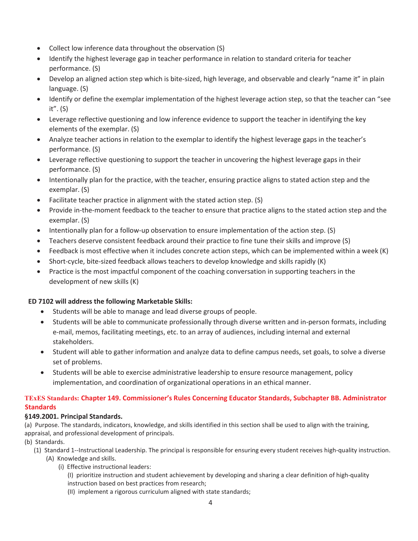- $\bullet$  Collect low inference data throughout the observation (S)
- Identify the highest leverage gap in teacher performance in relation to standard criteria for teacher performance. (S)
- Develop an aligned action step which is bite-sized, high leverage, and observable and clearly "name it" in plain language. (S)
- Identify or define the exemplar implementation of the highest leverage action step, so that the teacher can "see it". (S)
- Leverage reflective questioning and low inference evidence to support the teacher in identifying the key elements of the exemplar. (S)
- Analyze teacher actions in relation to the exemplar to identify the highest leverage gaps in the teacher's performance. (S)
- Leverage reflective questioning to support the teacher in uncovering the highest leverage gaps in their performance. (S)
- Intentionally plan for the practice, with the teacher, ensuring practice aligns to stated action step and the exemplar. (S)
- Facilitate teacher practice in alignment with the stated action step. (S)
- Provide in-the-moment feedback to the teacher to ensure that practice aligns to the stated action step and the exemplar. (S)
- Intentionally plan for a follow-up observation to ensure implementation of the action step.  $(S)$
- Teachers deserve consistent feedback around their practice to fine tune their skills and improve (S)
- Feedback is most effective when it includes concrete action steps, which can be implemented within a week (K)
- Short-cycle, bite-sized feedback allows teachers to develop knowledge and skills rapidly (K)
- Practice is the most impactful component of the coaching conversation in supporting teachers in the development of new skills (K)

## ED 7102 will address the following Marketable Skills:

- Students will be able to manage and lead diverse groups of people.
- Students will be able to communicate professionally through diverse written and in-person formats, including e-mail, memos, facilitating meetings, etc. to an array of audiences, including internal and external stakeholders.
- Student will able to gather information and analyze data to define campus needs, set goals, to solve a diverse set of problems.
- Students will be able to exercise administrative leadership to ensure resource management, policy implementation, and coordination of organizational operations in an ethical manner.

### TExES Standards: Chapter 149. Commissioner's Rules Concerning Educator Standards, Subchapter BB. Administrator **Standards**

### §149.2001. Principal Standards.

(a) Purpose. The standards, indicators, knowledge, and skills identified in this section shall be used to align with the training, appraisal, and professional development of principals.

- (b) Standards.
	- (1) Standard 1--Instructional Leadership. The principal is responsible for ensuring every student receives high-quality instruction.
		- (A) Knowledge and skills.
			- (i) Effective instructional leaders:
				- (I) prioritize instruction and student achievement by developing and sharing a clear definition of high-quality instruction based on best practices from research;
				- (II) implement a rigorous curriculum aligned with state standards;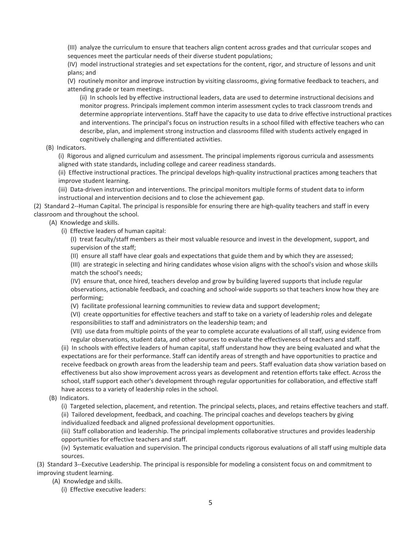(III) analyze the curriculum to ensure that teachers align content across grades and that curricular scopes and sequences meet the particular needs of their diverse student populations;

(IV) model instructional strategies and set expectations for the content, rigor, and structure of lessons and unit plans; and

(V) routinely monitor and improve instruction by visiting classrooms, giving formative feedback to teachers, and attending grade or team meetings.

(ii) In schools led by effective instructional leaders, data are used to determine instructional decisions and monitor progress. Principals implement common interim assessment cycles to track classroom trends and determine appropriate interventions. Staff have the capacity to use data to drive effective instructional practices and interventions. The principal's focus on instruction results in a school filled with effective teachers who can describe, plan, and implement strong instruction and classrooms filled with students actively engaged in cognitively challenging and differentiated activities.

(B) Indicators.

(i) Rigorous and aligned curriculum and assessment. The principal implements rigorous curricula and assessments aligned with state standards, including college and career readiness standards.

(ii) Effective instructional practices. The principal develops high-quality instructional practices among teachers that improve student learning.

(iii) Data-driven instruction and interventions. The principal monitors multiple forms of student data to inform instructional and intervention decisions and to close the achievement gap.

(2) Standard 2--Human Capital. The principal is responsible for ensuring there are high-quality teachers and staff in every classroom and throughout the school.

(A) Knowledge and skills.

(i) Effective leaders of human capital:

(I) treat faculty/staff members as their most valuable resource and invest in the development, support, and supervision of the staff;

(II) ensure all staff have clear goals and expectations that guide them and by which they are assessed;

(III) are strategic in selecting and hiring candidates whose vision aligns with the school's vision and whose skills match the school's needs;

(IV) ensure that, once hired, teachers develop and grow by building layered supports that include regular observations, actionable feedback, and coaching and school-wide supports so that teachers know how they are performing;

(V) facilitate professional learning communities to review data and support development;

(VI) create opportunities for effective teachers and staff to take on a variety of leadership roles and delegate responsibilities to staff and administrators on the leadership team; and

(VII) use data from multiple points of the year to complete accurate evaluations of all staff, using evidence from regular observations, student data, and other sources to evaluate the effectiveness of teachers and staff.

(ii) In schools with effective leaders of human capital, staff understand how they are being evaluated and what the expectations are for their performance. Staff can identify areas of strength and have opportunities to practice and receive feedback on growth areas from the leadership team and peers. Staff evaluation data show variation based on effectiveness but also show improvement across years as development and retention efforts take effect. Across the school, staff support each other's development through regular opportunities for collaboration, and effective staff have access to a variety of leadership roles in the school.

(B) Indicators.

(i) Targeted selection, placement, and retention. The principal selects, places, and retains effective teachers and staff. (ii) Tailored development, feedback, and coaching. The principal coaches and develops teachers by giving individualized feedback and aligned professional development opportunities.

(iii) Staff collaboration and leadership. The principal implements collaborative structures and provides leadership opportunities for effective teachers and staff.

(iv) Systematic evaluation and supervision. The principal conducts rigorous evaluations of all staff using multiple data sources.

(3) Standard 3--Executive Leadership. The principal is responsible for modeling a consistent focus on and commitment to improving student learning.

(A) Knowledge and skills.

(i) Effective executive leaders: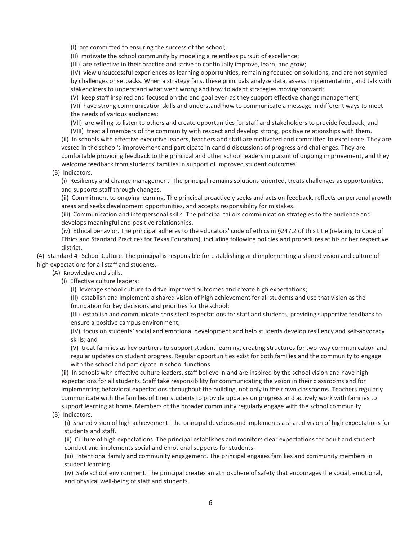(I) are committed to ensuring the success of the school;

(II) motivate the school community by modeling a relentless pursuit of excellence;

(III) are reflective in their practice and strive to continually improve, learn, and grow;

(IV) view unsuccessful experiences as learning opportunities, remaining focused on solutions, and are not stymied by challenges or setbacks. When a strategy fails, these principals analyze data, assess implementation, and talk with stakeholders to understand what went wrong and how to adapt strategies moving forward;

(V) keep staff inspired and focused on the end goal even as they support effective change management;

(VI) have strong communication skills and understand how to communicate a message in different ways to meet the needs of various audiences;

(VII) are willing to listen to others and create opportunities for staff and stakeholders to provide feedback; and

(VIII) treat all members of the community with respect and develop strong, positive relationships with them.

(ii) In schools with effective executive leaders, teachers and staff are motivated and committed to excellence. They are vested in the school's improvement and participate in candid discussions of progress and challenges. They are comfortable providing feedback to the principal and other school leaders in pursuit of ongoing improvement, and they welcome feedback from students' families in support of improved student outcomes.

### (B) Indicators.

(i) Resiliency and change management. The principal remains solutions-oriented, treats challenges as opportunities, and supports staff through changes.

(ii) Commitment to ongoing learning. The principal proactively seeks and acts on feedback, reflects on personal growth areas and seeks development opportunities, and accepts responsibility for mistakes.

(iii) Communication and interpersonal skills. The principal tailors communication strategies to the audience and develops meaningful and positive relationships.

(iv) Ethical behavior. The principal adheres to the educators' code of ethics in §247.2 of this title (relating to Code of Ethics and Standard Practices for Texas Educators), including following policies and procedures at his or her respective district.

(4) Standard 4--School Culture. The principal is responsible for establishing and implementing a shared vision and culture of high expectations for all staff and students.

- (A) Knowledge and skills.
	- (i) Effective culture leaders:

(I) leverage school culture to drive improved outcomes and create high expectations;

(II) establish and implement a shared vision of high achievement for all students and use that vision as the foundation for key decisions and priorities for the school;

(III) establish and communicate consistent expectations for staff and students, providing supportive feedback to ensure a positive campus environment;

(IV) focus on students' social and emotional development and help students develop resiliency and self-advocacy skills; and

(V) treat families as key partners to support student learning, creating structures for two-way communication and regular updates on student progress. Regular opportunities exist for both families and the community to engage with the school and participate in school functions.

(ii) In schools with effective culture leaders, staff believe in and are inspired by the school vision and have high expectations for all students. Staff take responsibility for communicating the vision in their classrooms and for implementing behavioral expectations throughout the building, not only in their own classrooms. Teachers regularly communicate with the families of their students to provide updates on progress and actively work with families to support learning at home. Members of the broader community regularly engage with the school community.

#### (B) Indicators.

(i) Shared vision of high achievement. The principal develops and implements a shared vision of high expectations for students and staff.

(ii) Culture of high expectations. The principal establishes and monitors clear expectations for adult and student conduct and implements social and emotional supports for students.

(iii) Intentional family and community engagement. The principal engages families and community members in student learning.

(iv) Safe school environment. The principal creates an atmosphere of safety that encourages the social, emotional, and physical well-being of staff and students.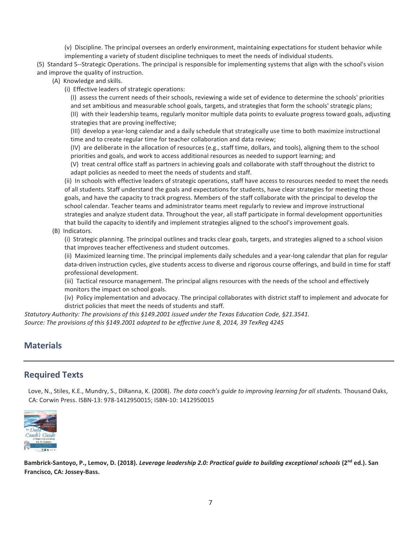(v) Discipline. The principal oversees an orderly environment, maintaining expectations for student behavior while implementing a variety of student discipline techniques to meet the needs of individual students.

(5) Standard 5--Strategic Operations. The principal is responsible for implementing systems that align with the school's vision and improve the quality of instruction.

(A) Knowledge and skills.

(i) Effective leaders of strategic operations:

(I) assess the current needs of their schools, reviewing a wide set of evidence to determine the schools' priorities and set ambitious and measurable school goals, targets, and strategies that form the schools' strategic plans; (II) with their leadership teams, regularly monitor multiple data points to evaluate progress toward goals, adjusting strategies that are proving ineffective;

(III) develop a year-long calendar and a daily schedule that strategically use time to both maximize instructional time and to create regular time for teacher collaboration and data review;

(IV) are deliberate in the allocation of resources (e.g., staff time, dollars, and tools), aligning them to the school priorities and goals, and work to access additional resources as needed to support learning; and

(V) treat central office staff as partners in achieving goals and collaborate with staff throughout the district to adapt policies as needed to meet the needs of students and staff.

(ii) In schools with effective leaders of strategic operations, staff have access to resources needed to meet the needs of all students. Staff understand the goals and expectations for students, have clear strategies for meeting those goals, and have the capacity to track progress. Members of the staff collaborate with the principal to develop the school calendar. Teacher teams and administrator teams meet regularly to review and improve instructional strategies and analyze student data. Throughout the year, all staff participate in formal development opportunities that build the capacity to identify and implement strategies aligned to the school's improvement goals.

(B) Indicators.

(i) Strategic planning. The principal outlines and tracks clear goals, targets, and strategies aligned to a school vision that improves teacher effectiveness and student outcomes.

(ii) Maximized learning time. The principal implements daily schedules and a year-long calendar that plan for regular data-driven instruction cycles, give students access to diverse and rigorous course offerings, and build in time for staff professional development.

(iii) Tactical resource management. The principal aligns resources with the needs of the school and effectively monitors the impact on school goals.

(iv) Policy implementation and advocacy. The principal collaborates with district staff to implement and advocate for district policies that meet the needs of students and staff.

*Statutory Authority: The provisions of this §149.2001 issued under the Texas Education Code, §21.3541. Source: The provisions of this §149.2001 adopted to be effective June 8, 2014, 39 TexReg 4245* 

# **Materials**

# Required Texts

Love, N., Stiles, K.E., Mundry, S., DiRanna, K. (2008). *The data coach's guide to improving learning for all students.* Thousand Oaks, CA: Corwin Press. ISBN-13: 978-1412950015; ISBN-10: 1412950015



Bambrick-Santoyo, P., Lemov, D. (2018). *Leverage leadership 2.0: Practical guide to building exceptional schools* (2<sup>nd</sup> ed.). San Francisco, CA: Jossey-Bass.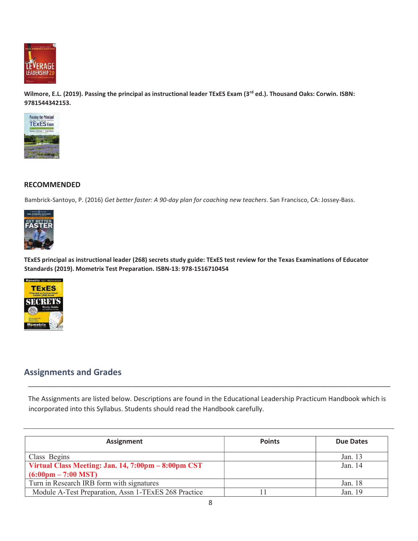

Wilmore, E.L. (2019). Passing the principal as instructional leader TExES Exam (3<sup>rd</sup> ed.). Thousand Oaks: Corwin. ISBN: 9781544342153.



## RECOMMENDED

Bambrick-Santoyo, P. (2016) *Get better faster: A 90-day plan for coaching new teachers*. San Francisco, CA: Jossey-Bass.



TExES principal as instructional leader (268) secrets study guide: TExES test review for the Texas Examinations of Educator Standards (2019). Mometrix Test Preparation. ISBN-13: 978-1516710454



# Assignments and Grades

The Assignments are listed below. Descriptions are found in the Educational Leadership Practicum Handbook which is incorporated into this Syllabus. Students should read the Handbook carefully.

\_\_\_\_\_\_\_\_\_\_\_\_\_\_\_\_\_\_\_\_\_\_\_\_\_\_\_\_\_\_\_\_\_\_\_\_\_\_\_\_\_\_\_\_\_\_\_\_\_\_\_\_\_\_\_\_\_\_\_\_\_\_\_\_\_\_\_\_\_\_\_\_\_\_\_\_\_\_\_\_\_\_\_\_\_\_\_\_\_\_\_\_\_\_\_\_\_

| <b>Assignment</b>                                    | <b>Points</b> | <b>Due Dates</b> |
|------------------------------------------------------|---------------|------------------|
| Class Begins                                         |               | Jan. 13          |
| Virtual Class Meeting: Jan. 14, 7:00pm - 8:00pm CST  |               | Jan. $14$        |
| $(6:00 \text{pm} - 7:00 \text{ MST})$                |               |                  |
| Turn in Research IRB form with signatures            |               | Jan. 18          |
| Module A-Test Preparation, Assn 1-TExES 268 Practice |               | Jan. 19          |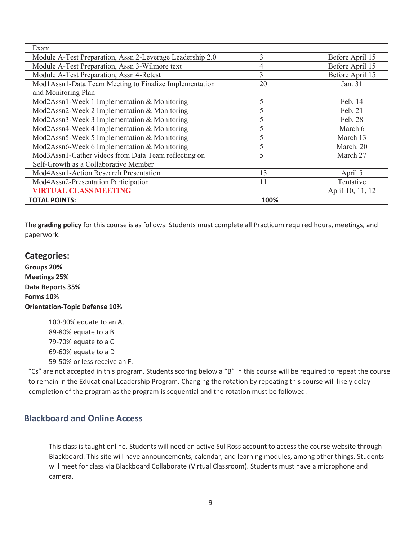| Exam                                                      |      |                  |
|-----------------------------------------------------------|------|------------------|
| Module A-Test Preparation, Assn 2-Leverage Leadership 2.0 | 3    | Before April 15  |
| Module A-Test Preparation, Assn 3-Wilmore text            | 4    | Before April 15  |
| Module A-Test Preparation, Assn 4-Retest                  | 3    | Before April 15  |
| Mod1Assn1-Data Team Meeting to Finalize Implementation    | 20   | Jan. 31          |
| and Monitoring Plan                                       |      |                  |
| Mod2Assn1-Week 1 Implementation & Monitoring              | 5    | Feb. 14          |
| Mod2Assn2-Week 2 Implementation & Monitoring              | 5    | Feb. 21          |
| Mod2Assn3-Week 3 Implementation & Monitoring              | 5    | Feb. 28          |
| Mod2Assn4-Week 4 Implementation & Monitoring              | 5    | March 6          |
| Mod2Assn5-Week 5 Implementation & Monitoring              | 5    | March 13         |
| Mod2Assn6-Week 6 Implementation & Monitoring              | 5    | March. 20        |
| Mod3Assn1-Gather videos from Data Team reflecting on      | 5    | March 27         |
| Self-Growth as a Collaborative Member                     |      |                  |
| Mod4Assn1-Action Research Presentation                    | 13   | April 5          |
| Mod4Assn2-Presentation Participation                      | 11   | Tentative        |
| <b>VIRTUAL CLASS MEETING</b>                              |      | April 10, 11, 12 |
| <b>TOTAL POINTS:</b>                                      | 100% |                  |

The grading policy for this course is as follows: Students must complete all Practicum required hours, meetings, and paperwork.

# Categories:

Groups 20% Meetings 25% Data Reports 35% Forms 10% Orientation-Topic Defense 10%

> 100-90% equate to an A, 89-80% equate to a B 79-70% equate to a C 69-60% equate to a D 59-50% or less receive an F.

"Cs" are not accepted in this program. Students scoring below a "B" in this course will be required to repeat the course to remain in the Educational Leadership Program. Changing the rotation by repeating this course will likely delay completion of the program as the program is sequential and the rotation must be followed.

# Blackboard and Online Access

This class is taught online. Students will need an active Sul Ross account to access the course website through Blackboard. This site will have announcements, calendar, and learning modules, among other things. Students will meet for class via Blackboard Collaborate (Virtual Classroom). Students must have a microphone and camera.